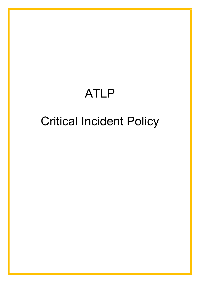# ATLP

# Critical Incident Policy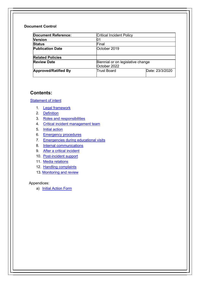#### Document Control

| <b>Document Reference:</b>  | <b>Critical Incident Policy</b>                   |                 |
|-----------------------------|---------------------------------------------------|-----------------|
| <b>Version</b>              | 01                                                |                 |
| <b>Status</b>               | Final                                             |                 |
| <b>Publication Date</b>     | October 2019                                      |                 |
| <b>Related Policies</b>     |                                                   |                 |
| <b>Review Date</b>          | Biennial or on legislative change<br>October 2022 |                 |
| <b>Approved/Ratified By</b> | Trust Board                                       | Date: 23/3/2020 |

### Contents:

**Statement of intent** 

- 1. Legal framework
- 2. Definition
- 3. Roles and responsibilities
- 4. Critical incident management team
- 5. Initial action
- 6. Emergency procedures
- 7. Emergencies during educational visits
- 8. Internal communications
- 9. After a critical incident
- 10. Post-incident support
- 11. Media relations
- 12. Handling complaints
- 13. Monitoring and review

#### Appendices:

a) Initial Action Form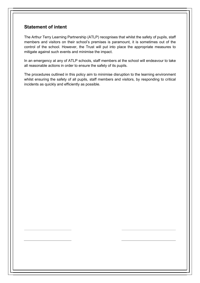## Statement of intent

The Arthur Terry Learning Partnership (ATLP) recognises that whilst the safety of pupils, staff members and visitors on their school's premises is paramount, it is sometimes out of the control of the school. However, the Trust will put into place the appropriate measures to mitigate against such events and minimise the impact.

In an emergency at any of ATLP schools, staff members at the school will endeavour to take all reasonable actions in order to ensure the safety of its pupils.

The procedures outlined in this policy aim to minimise disruption to the learning environment whilst ensuring the safety of all pupils, staff members and visitors, by responding to critical incidents as quickly and efficiently as possible.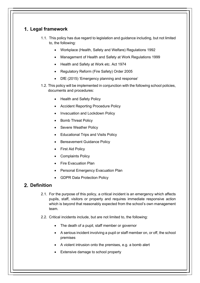## 1. Legal framework

- 1.1. This policy has due regard to legislation and guidance including, but not limited to, the following:
	- Workplace (Health, Safety and Welfare) Regulations 1992
	- Management of Health and Safety at Work Regulations 1999
	- Health and Safety at Work etc. Act 1974
	- Regulatory Reform (Fire Safety) Order 2005
	- DfE (2015) 'Emergency planning and response'
- 1.2. This policy will be implemented in conjunction with the following school policies, documents and procedures:
	- Health and Safety Policy
	- Accident Reporting Procedure Policy
	- Invacuation and Lockdown Policy
	- Bomb Threat Policy
	- Severe Weather Policy
	- Educational Trips and Visits Policy
	- Bereavement Guidance Policy
	- First Aid Policy
	- Complaints Policy
	- Fire Evacuation Plan
	- Personal Emergency Evacuation Plan
	- GDPR Data Protection Policy

## 2. Definition

- 2.1. For the purpose of this policy, a critical incident is an emergency which affects pupils, staff, visitors or property and requires immediate responsive action which is beyond that reasonably expected from the school's own management team.
- 2.2. Critical incidents include, but are not limited to, the following:
	- The death of a pupil, staff member or governor
	- A serious incident involving a pupil or staff member on, or off, the school premises
	- A violent intrusion onto the premises, e.g. a bomb alert
	- Extensive damage to school property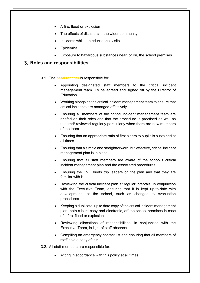- A fire, flood or explosion
- The effects of disasters in the wider community
- Incidents whilst on educational visits
- **Epidemics**
- Exposure to hazardous substances near, or on, the school premises

#### 3. Roles and responsibilities

- 3.1. The head teacher is responsible for:
	- Appointing designated staff members to the critical incident management team. To be agreed and signed off by the Director of Education.
	- Working alongside the critical incident management team to ensure that critical incidents are managed effectively.
	- Ensuring all members of the critical incident management team are briefed on their roles and that the procedure is practised as well as updated/ reviewed regularly particularly when there are new members of the team.
	- Ensuring that an appropriate ratio of first aiders to pupils is sustained at all times.
	- Ensuring that a simple and straightforward, but effective, critical incident management plan is in place.
	- Ensuring that all staff members are aware of the school's critical incident management plan and the associated procedures.
	- Ensuring the EVC briefs trip leaders on the plan and that they are familiar with it.
	- Reviewing the critical incident plan at regular intervals, in conjunction with the Executive Team, ensuring that it is kept up-to-date with developments at the school, such as changes to evacuation procedures.
	- Keeping a duplicate, up to date copy of the critical incident management plan, both a hard copy and electronic, off the school premises in case of a fire, flood or explosion.
	- Reviewing allocations of responsibilities, in conjunction with the Executive Team, in light of staff absence.
	- Compiling an emergency contact list and ensuring that all members of staff hold a copy of this.
- 3.2. All staff members are responsible for:
	- Acting in accordance with this policy at all times.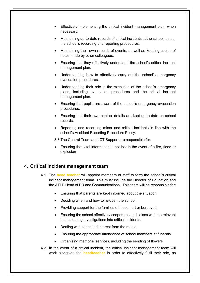- Effectively implementing the critical incident management plan, when necessary.
- Maintaining up-to-date records of critical incidents at the school, as per the school's recording and reporting procedures.
- Maintaining their own records of events, as well as keeping copies of notes made by other colleagues.
- Ensuring that they effectively understand the school's critical incident management plan.
- Understanding how to effectively carry out the school's emergency evacuation procedures.
- Understanding their role in the execution of the school's emergency plans, including evacuation procedures and the critical incident management plan.
- Ensuring that pupils are aware of the school's emergency evacuation procedures.
- Ensuring that their own contact details are kept up-to-date on school records.
- Reporting and recording minor and critical incidents in line with the school's Accident Reporting Procedure Policy.
- 3.3 The Central Team and ICT Support are responsible for:
- Ensuring that vital information is not lost in the event of a fire, flood or explosion

#### 4. Critical incident management team

- 4.1. The head teacher will appoint members of staff to form the school's critical incident management team. This must include the Director of Education and the ATLP Head of PR and Communications. This team will be responsible for:
	- Ensuring that parents are kept informed about the situation.
	- Deciding when and how to re-open the school.
	- Providing support for the families of those hurt or bereaved.
	- Ensuring the school effectively cooperates and liaises with the relevant bodies during investigations into critical incidents.
	- Dealing with continued interest from the media.
	- Ensuring the appropriate attendance of school members at funerals.
	- Organising memorial services, including the sending of flowers.
- 4.2. In the event of a critical incident, the critical incident management team will work alongside the **headteacher** in order to effectively fulfil their role, as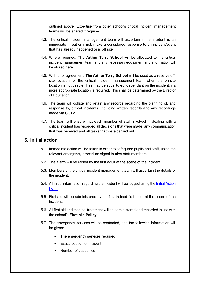outlined above. Expertise from other school's critical incident management teams will be shared if required.

- 4.3. The critical incident management team will ascertain if the incident is an immediate threat or if not, make a considered response to an incident/event that has already happened or is off site.
- 4.4. Where required, The Arthur Terry School will be allocated to the critical incident management team and any necessary equipment and information will be stored here.
- 4.5. With prior agreement, The Arthur Terry School will be used as a reserve offsite location for the critical incident management team when the on-site location is not usable. This may be substituted, dependant on the incident, if a more appropriate location is required. This shall be determined by the Director of Education.
- 4.6. The team will collate and retain any records regarding the planning of, and response to, critical incidents, including written records and any recordings made via CCTV.
- 4.7. The team will ensure that each member of staff involved in dealing with a critical incident has recorded all decisions that were made, any communication that was received and all tasks that were carried out.

#### 5. Initial action

- 5.1. Immediate action will be taken in order to safeguard pupils and staff, using the relevant emergency procedure signal to alert staff members.
- 5.2. The alarm will be raised by the first adult at the scene of the incident.
- 5.3. Members of the critical incident management team will ascertain the details of the incident.
- 5.4. All initial information regarding the incident will be logged using the Initial Action Form.
- 5.5. First aid will be administered by the first trained first aider at the scene of the incident.
- 5.6. All first aid and medical treatment will be administered and recorded in line with the school's First Aid Policy.
- 5.7. The emergency services will be contacted, and the following information will be given:
	- The emergency services required
	- Exact location of incident
	- Number of casualties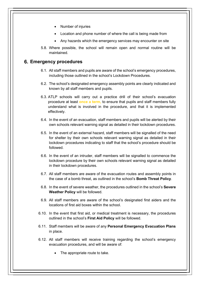- Number of injuries
- Location and phone number of where the call is being made from
- Any hazards which the emergency services may encounter on site
- 5.8. Where possible, the school will remain open and normal routine will be maintained.

#### 6. Emergency procedures

- 6.1. All staff members and pupils are aware of the school's emergency procedures, including those outlined in the school's Lockdown Procedures.
- 6.2. The school's designated emergency assembly points are clearly indicated and known by all staff members and pupils.
- 6.3. ATLP schools will carry out a practice drill of their school's evacuation procedure at least once a term, to ensure that pupils and staff members fully understand what is involved in the procedure, and that it is implemented effectively.
- 6.4. In the event of an evacuation, staff members and pupils will be alerted by their own schools relevant warning signal as detailed in their lockdown procedures.
- 6.5. In the event of an external hazard, staff members will be signalled of the need for shelter by their own schools relevant warning signal as detailed in their lockdown procedures indicating to staff that the school's procedure should be followed.
- 6.6. In the event of an intruder, staff members will be signalled to commence the lockdown procedure by their own schools relevant warning signal as detailed in their lockdown procedures.
- 6.7. All staff members are aware of the evacuation routes and assembly points in the case of a bomb threat, as outlined in the school's Bomb Threat Policy.
- 6.8. In the event of severe weather, the procedures outlined in the school's Severe Weather Policy will be followed.
- 6.9. All staff members are aware of the school's designated first aiders and the locations of first aid boxes within the school.
- 6.10. In the event that first aid, or medical treatment is necessary, the procedures outlined in the school's First Aid Policy will be followed.
- 6.11. Staff members will be aware of any Personal Emergency Evacuation Plans in place.
- 6.12. All staff members will receive training regarding the school's emergency evacuation procedures, and will be aware of:
	- The appropriate route to take.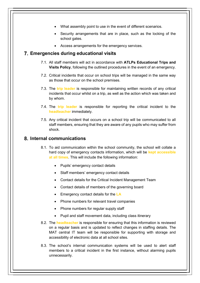- What assembly point to use in the event of different scenarios.
- Security arrangements that are in place, such as the locking of the school gates.
- Access arrangements for the emergency services.

#### Emergencies during educational visits

- 7.1. All staff members will act in accordance with ATLPs Educational Trips and Visits Policy, following the outlined procedures in the event of an emergency.
- 7.2. Critical incidents that occur on school trips will be managed in the same way as those that occur on the school premises.
- 7.3. The trip leader is responsible for maintaining written records of any critical incidents that occur whilst on a trip, as well as the action which was taken and by whom.
- 7.4. The trip leader is responsible for reporting the critical incident to the headteacher immediately.
- 7.5. Any critical incident that occurs on a school trip will be communicated to all staff members, ensuring that they are aware of any pupils who may suffer from shock.

#### 8. Internal communications

- 8.1. To aid communication within the school community, the school will collate a hard copy of emergency contacts information, which will be kept accessible at all times. This will include the following information:
	- Pupils' emergency contact details
	- Staff members' emergency contact details
	- Contact details for the Critical Incident Management Team
	- Contact details of members of the governing board
	- $\bullet$  Emergency contact details for the LA
	- Phone numbers for relevant travel companies
	- Phone numbers for regular supply staff
	- Pupil and staff movement data, including class itinerary
- 8.2. The **headteacher** is responsible for ensuring that this information is reviewed on a regular basis and is updated to reflect changes in staffing details. The MAT central IT team will be responsible for supporting with storage and accessibility of electronic data at all school sites.
- 8.3. The school's internal communication systems will be used to alert staff members to a critical incident in the first instance, without alarming pupils unnecessarily.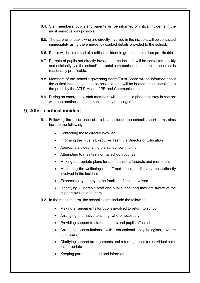- 8.4. Staff members, pupils and parents will be informed of critical incidents in the most sensitive way possible.
- 8.5. The parents of pupils who are directly involved in the incident will be contacted immediately using the emergency contact details provided to the school.
- 8.6. Pupils will be informed of a critical incident in groups as small as practicable.
- 8.7. Parents of pupils not directly involved in the incident will be contacted quickly and efficiently, via the school's parental communication channel, as soon as is reasonably practicable.
- 8.8. Members of the school's governing board/Trust Board will be informed about the critical incident as soon as possible, and will be briefed about speaking to the press by the ATLP Head of PR and Communications.
- 8.9. During an emergency, staff members will use mobile phones to stay in contact with one another and communicate key messages.

### 9. After a critical incident

- 9.1. Following the occurrence of a critical incident, the school's short terms aims include the following:
	- Contacting those directly involved
	- Informing the Trust's Executive Team via Director of Education
	- Appropriately debriefing the school community
	- Attempting to maintain normal school routines
	- Making appropriate plans for attendance at funerals and memorials
	- Monitoring the wellbeing of staff and pupils, particularly those directly involved in the incident
	- Expressing sympathy to the families of those involved
	- Identifying vulnerable staff and pupils, ensuring they are aware of the support available to them
- 9.2. In the medium term, the school's aims include the following:
	- Making arrangements for pupils involved to return to school
	- Arranging alternative teaching, where necessary
	- Providing support to staff members and pupils affected
	- Arranging consultations with educational psychologists, where necessary
	- Clarifying support arrangements and referring pupils for individual help, if appropriate
	- Keeping parents updated and informed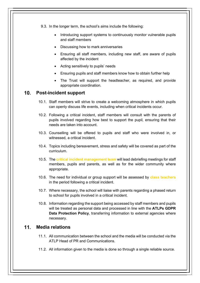9.3. In the longer term, the school's aims include the following:

- Introducing support systems to continuously monitor vulnerable pupils and staff members
- Discussing how to mark anniversaries
- Ensuring all staff members, including new staff, are aware of pupils affected by the incident
- Acting sensitively to pupils' needs
- Ensuring pupils and staff members know how to obtain further help
- The Trust will support the headteacher, as required, and provide appropriate coordination.

#### 10. Post-incident support

- 10.1. Staff members will strive to create a welcoming atmosphere in which pupils can openly discuss life events, including when critical incidents occur.
- 10.2. Following a critical incident, staff members will consult with the parents of pupils involved regarding how best to support the pupil, ensuring that their needs are taken into account.
- 10.3. Counselling will be offered to pupils and staff who were involved in, or witnessed, a critical incident.
- 10.4. Topics including bereavement, stress and safety will be covered as part of the curriculum.
- 10.5. The critical incident management team will lead debriefing meetings for staff members, pupils and parents, as well as for the wider community where appropriate.
- 10.6. The need for individual or group support will be assessed by class teachers in the period following a critical incident.
- 10.7. Where necessary, the school will liaise with parents regarding a phased return to school for pupils involved in a critical incident.
- 10.8. Information regarding the support being accessed by staff members and pupils will be treated as personal data and processed in line with the **ATLPs GDPR** Data Protection Policy, transferring information to external agencies where necessary.

### 11. Media relations

- 11.1. All communication between the school and the media will be conducted via the ATLP Head of PR and Communications.
- 11.2. All information given to the media is done so through a single reliable source.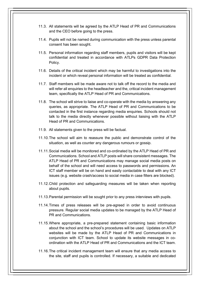- 11.3. All statements will be agreed by the ATLP Head of PR and Communications and the CEO before going to the press.
- 11.4. Pupils will not be named during communication with the press unless parental consent has been sought.
- 11.5. Personal information regarding staff members, pupils and visitors will be kept confidential and treated in accordance with ATLPs GDPR Data Protection Policy.
- 11.6. Details of the critical incident which may be harmful to investigations into the incident or which reveal personal information will be treated as confidential.
- 11.7. Staff members will be made aware not to talk off the record to the media and will refer all enquiries to the headteacher and the, critical incident management team, specifically the ATLP Head of PR and Communications.
- 11.8. The school will strive to liaise and co-operate with the media by answering any queries, as appropriate. The ATLP Head of PR and Communications to be contacted in the first instance regarding media enquiries. Schools should not talk to the media directly whenever possible without liaising with the ATLP Head of PR and Communications.
- 11.9. All statements given to the press will be factual.
- 11.10. The school will aim to reassure the public and demonstrate control of the situation, as well as counter any dangerous rumours or gossip.
- 11.11. Social media will be monitored and co-ordinated by the ATLP Head of PR and Communications. School and ATLP posts will share consistent messages. The ATLP Head of PR and Communications may manage social media posts on behalf of the school and will need access to passwords and permissions. An ICT staff member will be on hand and easily contactable to deal with any ICT issues (e.g. website crash/access to social media in case filters are blocked).
- 11.12. Child protection and safeguarding measures will be taken when reporting about pupils.
- 11.13. Parental permission will be sought prior to any press interviews with pupils.
- 11.14. Times of press releases will be pre-agreed in order to avoid continuous pressure. Regular social media updates to be managed by the ATLP Head of PR and Communications.
- 11.15. Where appropriate, a pre-prepared statement containing basic information about the school and the school's procedures will be used. Updates on ATLP websites will be made by the ATLP Head of PR and Communications in conjunction with ICT team. School to update its website messages in coordination with the ATLP Head of PR and Communications and the ICT team.
- 11.16. The critical incident management team will ensure that any media access to the site, staff and pupils is controlled. If necessary, a suitable and dedicated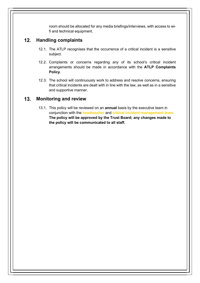room should be allocated for any media briefings/interviews, with access to wifi and technical equipment.

### 12. Handling complaints

- 12.1. The ATLP recognises that the occurrence of a critical incident is a sensitive subject.
- 12.2. Complaints or concerns regarding any of its school's critical incident arrangements should be made in accordance with the ATLP Complaints Policy.
- 12.3. The school will continuously work to address and resolve concerns, ensuring that critical incidents are dealt with in line with the law, as well as in a sensitive and supportive manner.

### 13. Monitoring and review

13.1. This policy will be reviewed on an **annual** basis by the executive team in conjunction with the headteacher and critical incident management team. The policy will be approved by the Trust Board; any changes made to the policy will be communicated to all staff.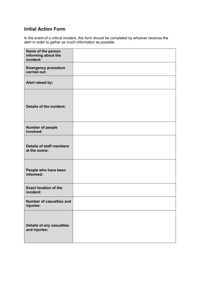## Initial Action Form

In the event of a critical incident, this form should be completed by whoever receives the alert in order to gather as much information as possible.

| Name of the person<br>informing about the<br>incident: |  |
|--------------------------------------------------------|--|
| <b>Emergency procedure</b><br>carried out:             |  |
| Alert raised by:                                       |  |
| <b>Details of the incident:</b>                        |  |
| Number of people<br>involved:                          |  |
| <b>Details of staff members</b><br>at the scene:       |  |
| People who have been<br>informed:                      |  |
| <b>Exact location of the</b><br>incident:              |  |
| Number of casualties and<br>injuries:                  |  |
| <b>Details of any casualties</b><br>and injuries:      |  |